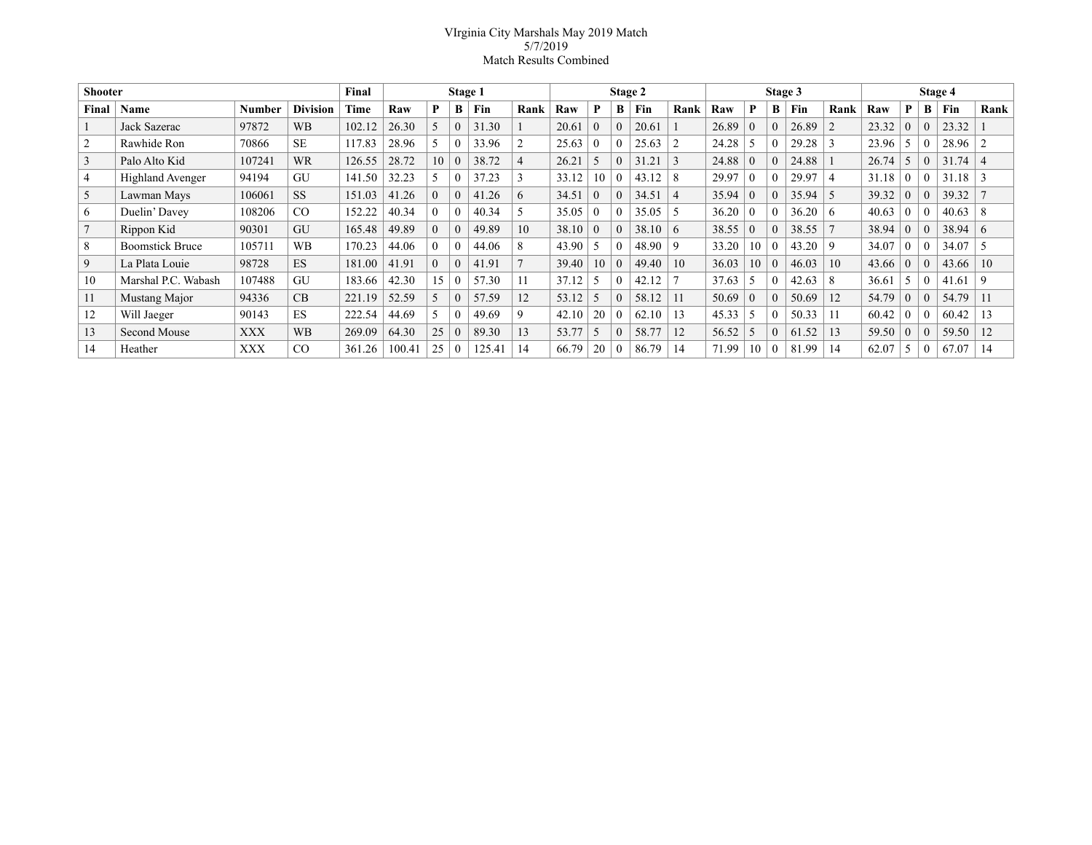## VIrginia City Marshals May 2019 Match 5/7/2019 Match Results Combined

| <b>Shooter</b> |                         |            |                 | Final  | Stage 1 |          |          |        | Stage 2        |       |          |          | Stage 3 |                |       |          |   | Stage 4 |                |       |          |   |       |                |
|----------------|-------------------------|------------|-----------------|--------|---------|----------|----------|--------|----------------|-------|----------|----------|---------|----------------|-------|----------|---|---------|----------------|-------|----------|---|-------|----------------|
| Final          | Name                    | Number     | <b>Division</b> | Time   | Raw     | P        | В        | Fin    | Rank           | Raw   | P        | В        | Fin     | Rank           | Raw   | P        | В | Fin     | Rank           | Raw   | P        | B | Fin   | Rank           |
|                | Jack Sazerac            | 97872      | <b>WB</b>       | 102.12 | 26.30   | 5        | $\theta$ | 31.30  |                | 20.61 | $\Omega$ | $\theta$ | 20.61   |                | 26.89 | $\theta$ |   | 26.89   | $\overline{2}$ | 23.32 | $\Omega$ |   | 23.32 |                |
| $\overline{2}$ | Rawhide Ron             | 70866      | <b>SE</b>       | 117.83 | 28.96   |          | $\Omega$ | 33.96  | $\overline{c}$ | 25.63 | $\Omega$ | $\Omega$ | 25.63   | 2              | 24.28 |          |   | 29.28   |                | 23.96 | 5        |   | 28.96 | $\overline{2}$ |
| 3              | Palo Alto Kid           | 107241     | <b>WR</b>       | 126.55 | 28.72   | 10       | $\theta$ | 38.72  | $\overline{4}$ | 26.21 |          | $\Omega$ | 31.21   | $\mathcal{R}$  | 24.88 | $\Omega$ |   | 24.88   |                | 26.74 | 5        |   | 31.74 | $\overline{4}$ |
| $\overline{4}$ | <b>Highland Avenger</b> | 94194      | GU              | 141.50 | 32.23   |          | $\theta$ | 37.23  | 3              | 33.12 | 10       | $\Omega$ | 43.12   |                | 29.97 | $\theta$ |   | 29.97   |                | 31.18 | $\theta$ |   | 31.18 | 3              |
| 5              | Lawman Mays             | 106061     | <b>SS</b>       | 151.03 | 41.26   | $\Omega$ | $\theta$ | 41.26  | 6              | 34.51 | $\Omega$ | $\Omega$ | 34.51   | $\overline{4}$ | 35.94 | $\Omega$ |   | 35.94   | 5              | 39.32 | $\theta$ |   | 39.32 |                |
| 6              | Duelin' Davey           | 108206     | CO              | 152.22 | 40.34   | $\Omega$ | $\theta$ | 40.34  | 5              | 35.05 | $\Omega$ |          | 35.05   | -5             | 36.20 | $\Omega$ |   | 36.20   | 6              | 40.63 | $\Omega$ |   | 40.63 | 8              |
| $\mathbf{z}$   | Rippon Kid              | 90301      | GU              | 165.48 | 49.89   | $\theta$ | $\theta$ | 49.89  | 10             | 38.10 | $\theta$ | $\theta$ | 38.10   | -6             | 38.55 | $\Omega$ |   | 38.55   |                | 38.94 | $\theta$ |   | 38.94 | -6             |
| 8              | <b>Boomstick Bruce</b>  | 105711     | <b>WB</b>       | 170.23 | 44.06   | $\theta$ | $\theta$ | 44.06  | 8              | 43.90 |          | $\Omega$ | 48.90   | 9              | 33.20 | 10       |   | 43.20   | 9              | 34.07 | $\theta$ |   | 34.07 | .5             |
| 9              | La Plata Louie          | 98728      | ES              | 181.00 | 41.91   | $\Omega$ | $\theta$ | 41.91  |                | 39.40 | 10       | $\theta$ | 49.40   | 10             | 36.03 | 10       |   | 46.03   | 10             | 43.66 | $\theta$ |   | 43.66 | 10             |
| 10             | Marshal P.C. Wabash     | 107488     | <b>GU</b>       | 183.66 | 42.30   | 15       | $\theta$ | 57.30  | 11             | 37.12 |          | $\Omega$ | 42.12   |                | 37.63 |          |   | 42.63   | 8              | 36.61 | 5        |   | 41.61 | 9              |
| 11             | Mustang Major           | 94336      | CB              | 221.19 | 52.59   |          | $\Omega$ | 57.59  | 12             | 53.12 |          | $\theta$ | 58.12   |                | 50.69 | $\Omega$ |   | 50.69   | 12             | 54.79 | $\theta$ |   | 54.79 | 11             |
| 12             | Will Jaeger             | 90143      | ES              | 222.54 | 44.69   |          | $\theta$ | 49.69  | 9              | 42.10 | 20       | $\Omega$ | 62.10   | 13             | 45.33 |          |   | 50.33   |                | 60.42 | $\Omega$ |   | 60.42 | 13             |
| 13             | Second Mouse            | <b>XXX</b> | <b>WB</b>       | 269.09 | 64.30   | 25       | $\theta$ | 89.30  | 13             | 53.77 |          | $\theta$ | 58.77   | 12             | 56.52 |          |   | 61.52   | 13             | 59.50 | $\theta$ |   | 59.50 | 12             |
| 14             | Heather                 | <b>XXX</b> | CO              | 361.26 | 100.41  | 25       | $\Omega$ | 125.41 | 14             | 66.79 | 20       | $\Omega$ | 86.79   | 14             | 71.99 | 10       |   | 81.99   | 14             | 62.07 | 5        |   | 67.07 | 14             |